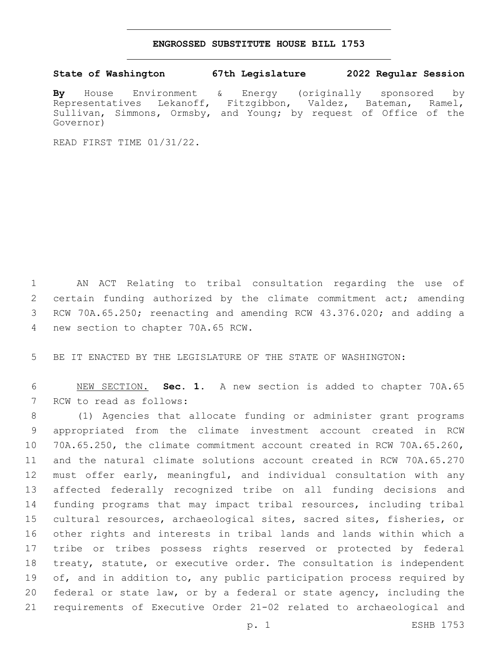## **ENGROSSED SUBSTITUTE HOUSE BILL 1753**

## **State of Washington 67th Legislature 2022 Regular Session**

**By** House Environment & Energy (originally sponsored by Representatives Lekanoff, Fitzgibbon, Valdez, Bateman, Ramel, Sullivan, Simmons, Ormsby, and Young; by request of Office of the Governor)

READ FIRST TIME 01/31/22.

1 AN ACT Relating to tribal consultation regarding the use of 2 certain funding authorized by the climate commitment act; amending 3 RCW 70A.65.250; reenacting and amending RCW 43.376.020; and adding a 4 new section to chapter 70A.65 RCW.

5 BE IT ENACTED BY THE LEGISLATURE OF THE STATE OF WASHINGTON:

6 NEW SECTION. **Sec. 1.** A new section is added to chapter 70A.65 7 RCW to read as follows:

 (1) Agencies that allocate funding or administer grant programs appropriated from the climate investment account created in RCW 70A.65.250, the climate commitment account created in RCW 70A.65.260, and the natural climate solutions account created in RCW 70A.65.270 must offer early, meaningful, and individual consultation with any affected federally recognized tribe on all funding decisions and funding programs that may impact tribal resources, including tribal cultural resources, archaeological sites, sacred sites, fisheries, or other rights and interests in tribal lands and lands within which a tribe or tribes possess rights reserved or protected by federal treaty, statute, or executive order. The consultation is independent 19 of, and in addition to, any public participation process required by federal or state law, or by a federal or state agency, including the requirements of Executive Order 21-02 related to archaeological and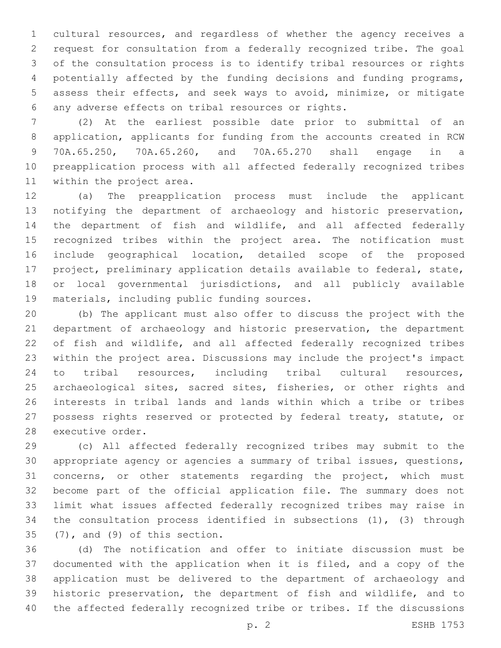cultural resources, and regardless of whether the agency receives a request for consultation from a federally recognized tribe. The goal of the consultation process is to identify tribal resources or rights potentially affected by the funding decisions and funding programs, assess their effects, and seek ways to avoid, minimize, or mitigate any adverse effects on tribal resources or rights.6

 (2) At the earliest possible date prior to submittal of an application, applicants for funding from the accounts created in RCW 70A.65.250, 70A.65.260, and 70A.65.270 shall engage in a preapplication process with all affected federally recognized tribes 11 within the project area.

 (a) The preapplication process must include the applicant notifying the department of archaeology and historic preservation, the department of fish and wildlife, and all affected federally recognized tribes within the project area. The notification must include geographical location, detailed scope of the proposed project, preliminary application details available to federal, state, or local governmental jurisdictions, and all publicly available 19 materials, including public funding sources.

 (b) The applicant must also offer to discuss the project with the department of archaeology and historic preservation, the department of fish and wildlife, and all affected federally recognized tribes within the project area. Discussions may include the project's impact to tribal resources, including tribal cultural resources, 25 archaeological sites, sacred sites, fisheries, or other rights and interests in tribal lands and lands within which a tribe or tribes possess rights reserved or protected by federal treaty, statute, or 28 executive order.

 (c) All affected federally recognized tribes may submit to the appropriate agency or agencies a summary of tribal issues, questions, concerns, or other statements regarding the project, which must become part of the official application file. The summary does not limit what issues affected federally recognized tribes may raise in the consultation process identified in subsections (1), (3) through  $(7)$ , and  $(9)$  of this section.

 (d) The notification and offer to initiate discussion must be documented with the application when it is filed, and a copy of the application must be delivered to the department of archaeology and historic preservation, the department of fish and wildlife, and to the affected federally recognized tribe or tribes. If the discussions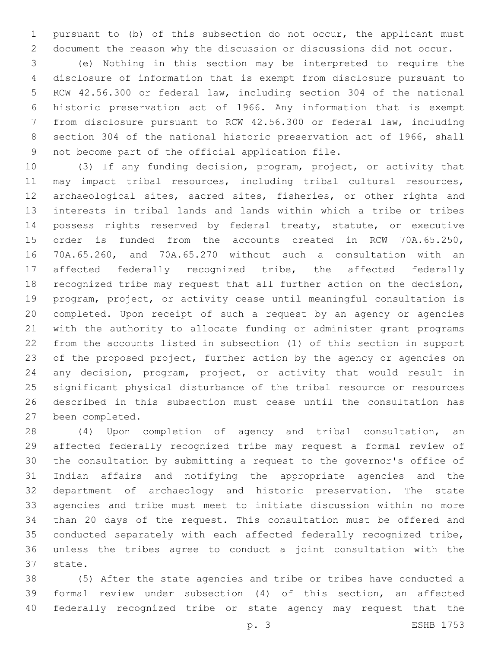pursuant to (b) of this subsection do not occur, the applicant must document the reason why the discussion or discussions did not occur.

 (e) Nothing in this section may be interpreted to require the disclosure of information that is exempt from disclosure pursuant to RCW 42.56.300 or federal law, including section 304 of the national historic preservation act of 1966. Any information that is exempt from disclosure pursuant to RCW 42.56.300 or federal law, including section 304 of the national historic preservation act of 1966, shall 9 not become part of the official application file.

 (3) If any funding decision, program, project, or activity that may impact tribal resources, including tribal cultural resources, archaeological sites, sacred sites, fisheries, or other rights and interests in tribal lands and lands within which a tribe or tribes possess rights reserved by federal treaty, statute, or executive order is funded from the accounts created in RCW 70A.65.250, 70A.65.260, and 70A.65.270 without such a consultation with an affected federally recognized tribe, the affected federally recognized tribe may request that all further action on the decision, program, project, or activity cease until meaningful consultation is completed. Upon receipt of such a request by an agency or agencies with the authority to allocate funding or administer grant programs from the accounts listed in subsection (1) of this section in support of the proposed project, further action by the agency or agencies on any decision, program, project, or activity that would result in significant physical disturbance of the tribal resource or resources described in this subsection must cease until the consultation has 27 been completed.

 (4) Upon completion of agency and tribal consultation, an affected federally recognized tribe may request a formal review of the consultation by submitting a request to the governor's office of Indian affairs and notifying the appropriate agencies and the department of archaeology and historic preservation. The state agencies and tribe must meet to initiate discussion within no more than 20 days of the request. This consultation must be offered and conducted separately with each affected federally recognized tribe, unless the tribes agree to conduct a joint consultation with the 37 state.

 (5) After the state agencies and tribe or tribes have conducted a formal review under subsection (4) of this section, an affected federally recognized tribe or state agency may request that the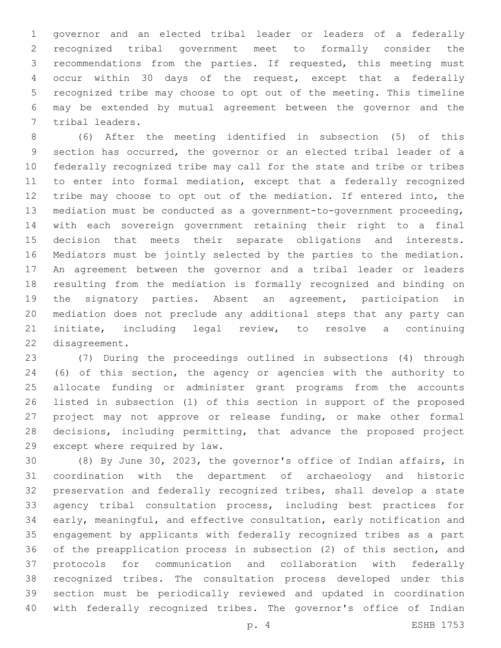governor and an elected tribal leader or leaders of a federally recognized tribal government meet to formally consider the recommendations from the parties. If requested, this meeting must occur within 30 days of the request, except that a federally recognized tribe may choose to opt out of the meeting. This timeline may be extended by mutual agreement between the governor and the 7 tribal leaders.

 (6) After the meeting identified in subsection (5) of this section has occurred, the governor or an elected tribal leader of a federally recognized tribe may call for the state and tribe or tribes to enter into formal mediation, except that a federally recognized tribe may choose to opt out of the mediation. If entered into, the mediation must be conducted as a government-to-government proceeding, with each sovereign government retaining their right to a final decision that meets their separate obligations and interests. Mediators must be jointly selected by the parties to the mediation. An agreement between the governor and a tribal leader or leaders resulting from the mediation is formally recognized and binding on the signatory parties. Absent an agreement, participation in mediation does not preclude any additional steps that any party can initiate, including legal review, to resolve a continuing 22 disagreement.

 (7) During the proceedings outlined in subsections (4) through (6) of this section, the agency or agencies with the authority to allocate funding or administer grant programs from the accounts listed in subsection (1) of this section in support of the proposed project may not approve or release funding, or make other formal decisions, including permitting, that advance the proposed project 29 except where required by law.

 (8) By June 30, 2023, the governor's office of Indian affairs, in coordination with the department of archaeology and historic preservation and federally recognized tribes, shall develop a state agency tribal consultation process, including best practices for early, meaningful, and effective consultation, early notification and engagement by applicants with federally recognized tribes as a part of the preapplication process in subsection (2) of this section, and protocols for communication and collaboration with federally recognized tribes. The consultation process developed under this section must be periodically reviewed and updated in coordination with federally recognized tribes. The governor's office of Indian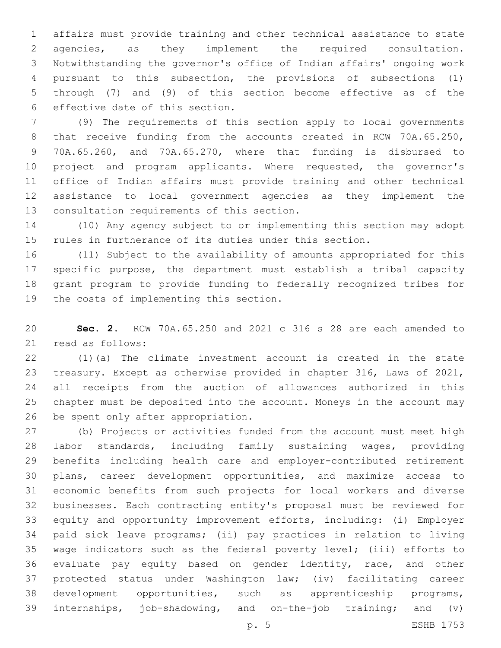affairs must provide training and other technical assistance to state agencies, as they implement the required consultation. Notwithstanding the governor's office of Indian affairs' ongoing work pursuant to this subsection, the provisions of subsections (1) through (7) and (9) of this section become effective as of the 6 effective date of this section.

 (9) The requirements of this section apply to local governments 8 that receive funding from the accounts created in RCW 70A.65.250, 70A.65.260, and 70A.65.270, where that funding is disbursed to project and program applicants. Where requested, the governor's office of Indian affairs must provide training and other technical assistance to local government agencies as they implement the 13 consultation requirements of this section.

 (10) Any agency subject to or implementing this section may adopt rules in furtherance of its duties under this section.

 (11) Subject to the availability of amounts appropriated for this specific purpose, the department must establish a tribal capacity grant program to provide funding to federally recognized tribes for 19 the costs of implementing this section.

 **Sec. 2.** RCW 70A.65.250 and 2021 c 316 s 28 are each amended to 21 read as follows:

 (1)(a) The climate investment account is created in the state treasury. Except as otherwise provided in chapter 316, Laws of 2021, all receipts from the auction of allowances authorized in this chapter must be deposited into the account. Moneys in the account may 26 be spent only after appropriation.

 (b) Projects or activities funded from the account must meet high labor standards, including family sustaining wages, providing benefits including health care and employer-contributed retirement plans, career development opportunities, and maximize access to economic benefits from such projects for local workers and diverse businesses. Each contracting entity's proposal must be reviewed for equity and opportunity improvement efforts, including: (i) Employer paid sick leave programs; (ii) pay practices in relation to living wage indicators such as the federal poverty level; (iii) efforts to evaluate pay equity based on gender identity, race, and other protected status under Washington law; (iv) facilitating career development opportunities, such as apprenticeship programs, internships, job-shadowing, and on-the-job training; and (v)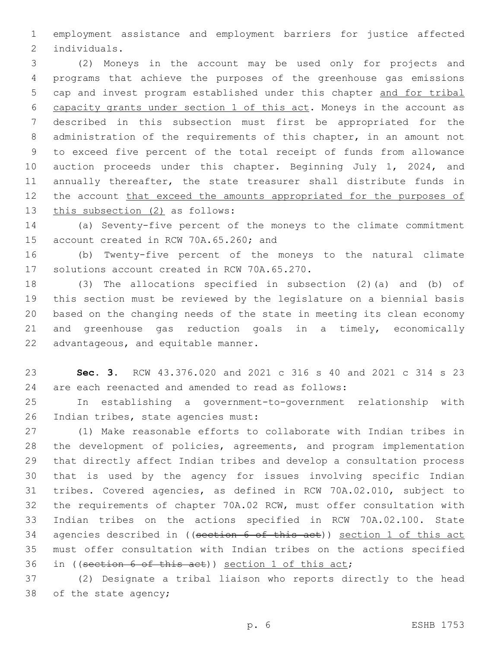employment assistance and employment barriers for justice affected 2 individuals.

 (2) Moneys in the account may be used only for projects and programs that achieve the purposes of the greenhouse gas emissions cap and invest program established under this chapter and for tribal capacity grants under section 1 of this act. Moneys in the account as described in this subsection must first be appropriated for the administration of the requirements of this chapter, in an amount not to exceed five percent of the total receipt of funds from allowance auction proceeds under this chapter. Beginning July 1, 2024, and annually thereafter, the state treasurer shall distribute funds in 12 the account that exceed the amounts appropriated for the purposes of 13 this subsection (2) as follows:

 (a) Seventy-five percent of the moneys to the climate commitment 15 account created in RCW 70A.65.260; and

 (b) Twenty-five percent of the moneys to the natural climate 17 solutions account created in RCW 70A.65.270.

 (3) The allocations specified in subsection (2)(a) and (b) of this section must be reviewed by the legislature on a biennial basis based on the changing needs of the state in meeting its clean economy and greenhouse gas reduction goals in a timely, economically 22 advantageous, and equitable manner.

 **Sec. 3.** RCW 43.376.020 and 2021 c 316 s 40 and 2021 c 314 s 23 are each reenacted and amended to read as follows:

 In establishing a government-to-government relationship with 26 Indian tribes, state agencies must:

 (1) Make reasonable efforts to collaborate with Indian tribes in the development of policies, agreements, and program implementation that directly affect Indian tribes and develop a consultation process that is used by the agency for issues involving specific Indian tribes. Covered agencies, as defined in RCW 70A.02.010, subject to the requirements of chapter 70A.02 RCW, must offer consultation with Indian tribes on the actions specified in RCW 70A.02.100. State 34 agencies described in ((section 6 of this act)) section 1 of this act must offer consultation with Indian tribes on the actions specified in ((section 6 of this act)) section 1 of this act;

 (2) Designate a tribal liaison who reports directly to the head 38 of the state agency;